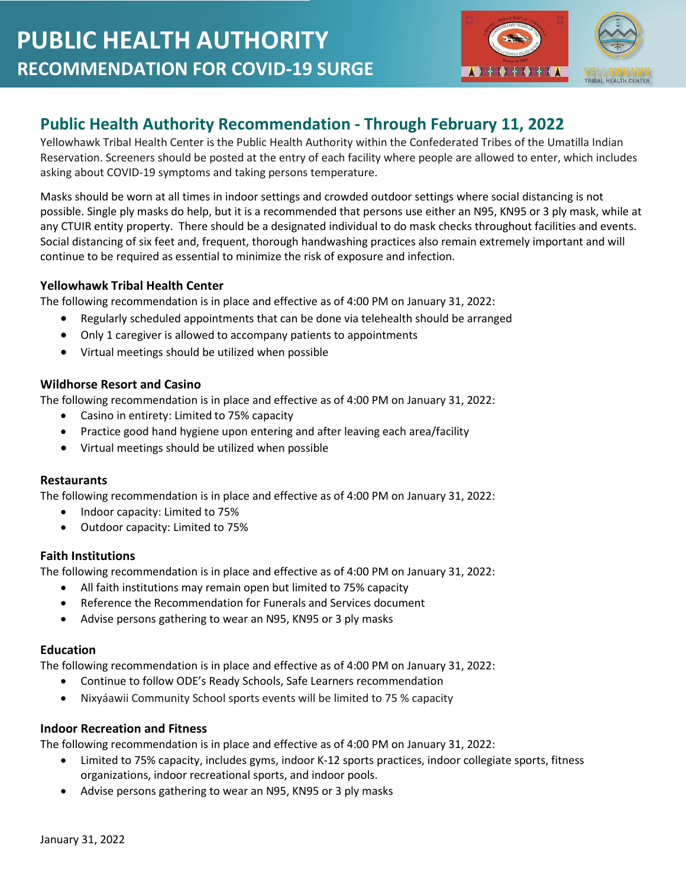

# **Public Health Authority Recommendation - Through February 11, 2022**

Yellowhawk Tribal Health Center is the Public Health Authority within the Confederated Tribes of the Umatilla Indian Reservation. Screeners should be posted at the entry of each facility where people are allowed to enter, which includes asking about COVID-19 symptoms and taking persons temperature.

Masks should be worn at all times in indoor settings and crowded outdoor settings where social distancing is not possible. Single ply masks do help, but it is a recommended that persons use either an N95, KN95 or 3 ply mask, while at any CTUIR entity property. There should be a designated individual to do mask checks throughout facilities and events. Social distancing of six feet and, frequent, thorough handwashing practices also remain extremely important and will continue to be required as essential to minimize the risk of exposure and infection.

## **Yellowhawk Tribal Health Center**

The following recommendation is in place and effective as of 4:00 PM on January 31, 2022:

- Regularly scheduled appointments that can be done via telehealth should be arranged
- Only 1 caregiver is allowed to accompany patients to appointments
- Virtual meetings should be utilized when possible

## **Wildhorse Resort and Casino**

The following recommendation is in place and effective as of 4:00 PM on January 31, 2022:

- Casino in entirety: Limited to 75% capacity
- Practice good hand hygiene upon entering and after leaving each area/facility
- Virtual meetings should be utilized when possible

## **Restaurants**

The following recommendation is in place and effective as of 4:00 PM on January 31, 2022:

- Indoor capacity: Limited to 75%
- Outdoor capacity: Limited to 75%

### **Faith Institutions**

The following recommendation is in place and effective as of 4:00 PM on January 31, 2022:

- All faith institutions may remain open but limited to 75% capacity
- Reference the Recommendation for Funerals and Services document
- Advise persons gathering to wear an N95, KN95 or 3 ply masks

### **Education**

The following recommendation is in place and effective as of 4:00 PM on January 31, 2022:

- Continue to follow ODE's Ready Schools, Safe Learners recommendation
- Nixyáawii Community School sports events will be limited to 75 % capacity

## **Indoor Recreation and Fitness**

The following recommendation is in place and effective as of 4:00 PM on January 31, 2022:

- Limited to 75% capacity, includes gyms, indoor K-12 sports practices, indoor collegiate sports, fitness organizations, indoor recreational sports, and indoor pools.
- Advise persons gathering to wear an N95, KN95 or 3 ply masks